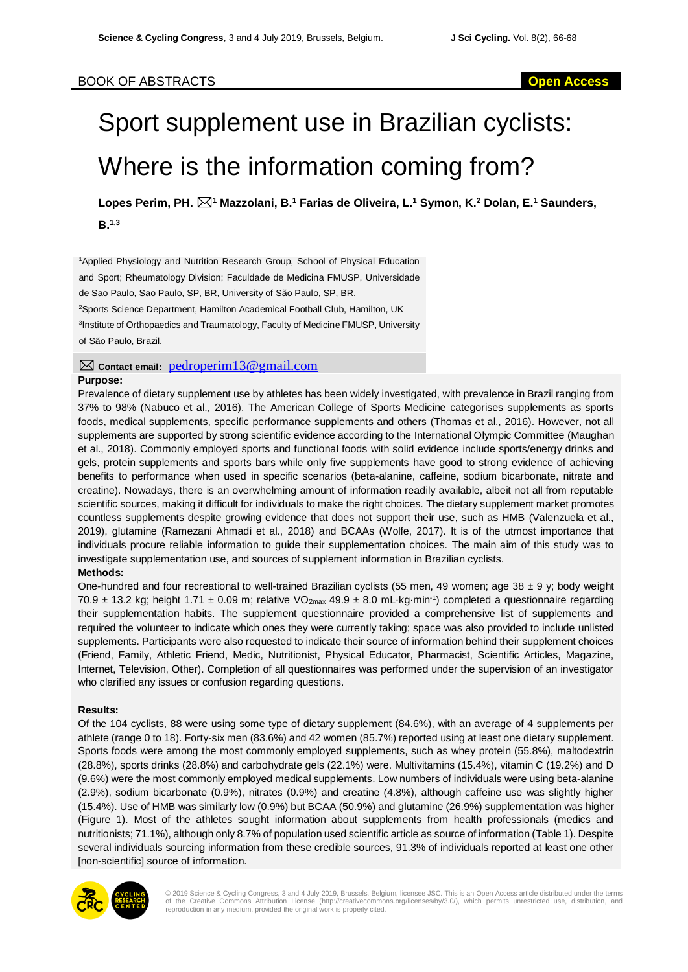## BOOK OF ABSTRACTS **Open Access**

# Sport supplement use in Brazilian cyclists: Where is the information coming from?

**Lopes Perim, PH. <sup>1</sup> Mazzolani, B.<sup>1</sup> Farias de Oliveira, L.<sup>1</sup> Symon, K.<sup>2</sup> Dolan, E.<sup>1</sup> Saunders, B.1,3**

<sup>1</sup>Applied Physiology and Nutrition Research Group, School of Physical Education and Sport; Rheumatology Division; Faculdade de Medicina FMUSP, Universidade de Sao Paulo, Sao Paulo, SP, BR, University of São Paulo, SP, BR. <sup>2</sup>Sports Science Department, Hamilton Academical Football Club, Hamilton, UK <sup>3</sup>Institute of Orthopaedics and Traumatology, Faculty of Medicine FMUSP, University of São Paulo, Brazil.

**Purpose: Contact email:** pedroperim13@gmail.com

Prevalence of dietary supplement use by athletes has been widely investigated, with prevalence in Brazil ranging from 37% to 98% [\(Nabuco et al.,](#page-2-0) 2016). The American College of Sports Medicine categorises supplements as sports foods, medical supplements, specific performance supplements and others [\(Thomas et al., 2016\)](#page-2-1). However, not all supplements are supported by strong scientific evidence according to the International Olympic Committee [\(Maughan](#page-2-2)  [et al., 2018\)](#page-2-2). Commonly employed sports and functional foods with solid evidence include sports/energy drinks and gels, protein supplements and sports bars while only five supplements have good to strong evidence of achieving benefits to performance when used in specific scenarios (beta-alanine, caffeine, sodium bicarbonate, nitrate and creatine). Nowadays, there is an overwhelming amount of information readily available, albeit not all from reputable scientific sources, making it difficult for individuals to make the right choices. The dietary supplement market promotes countless supplements despite growing evidence that does not support their use, such as HMB [\(Valenzuela et al.,](#page-2-3)  [2019\)](#page-2-3), glutamine [\(Ramezani Ahmadi et al., 2018\)](#page-2-4) and BCAAs [\(Wolfe, 2017\)](#page-2-5). It is of the utmost importance that individuals procure reliable information to guide their supplementation choices. The main aim of this study was to investigate supplementation use, and sources of supplement information in Brazilian cyclists.

## **Methods:**

One-hundred and four recreational to well-trained Brazilian cyclists (55 men, 49 women; age 38  $\pm$  9 y; body weight 70.9  $\pm$  13.2 kg; height 1.71  $\pm$  0.09 m; relative VO<sub>2max</sub> 49.9  $\pm$  8.0 mL·kg·min<sup>-1</sup>) completed a questionnaire regarding their supplementation habits. The supplement questionnaire provided a comprehensive list of supplements and required the volunteer to indicate which ones they were currently taking; space was also provided to include unlisted supplements. Participants were also requested to indicate their source of information behind their supplement choices (Friend, Family, Athletic Friend, Medic, Nutritionist, Physical Educator, Pharmacist, Scientific Articles, Magazine, Internet, Television, Other). Completion of all questionnaires was performed under the supervision of an investigator who clarified any issues or confusion regarding questions.

#### **Results:**

Of the 104 cyclists, 88 were using some type of dietary supplement (84.6%), with an average of 4 supplements per athlete (range 0 to 18). Forty-six men (83.6%) and 42 women (85.7%) reported using at least one dietary supplement. Sports foods were among the most commonly employed supplements, such as whey protein (55.8%), maltodextrin (28.8%), sports drinks (28.8%) and carbohydrate gels (22.1%) were. Multivitamins (15.4%), vitamin C (19.2%) and D (9.6%) were the most commonly employed medical supplements. Low numbers of individuals were using beta-alanine (2.9%), sodium bicarbonate (0.9%), nitrates (0.9%) and creatine (4.8%), although caffeine use was slightly higher (15.4%). Use of HMB was similarly low (0.9%) but BCAA (50.9%) and glutamine (26.9%) supplementation was higher (Figure 1). Most of the athletes sought information about supplements from health professionals (medics and nutritionists; 71.1%), although only 8.7% of population used scientific article as source of information (Table 1). Despite several individuals sourcing information from these credible sources, 91.3% of individuals reported at least one other [non-scientific] source of information.



© 2019 Science & Cycling Congress, 3 and 4 July 2019, Brussels, Belgium, licensee JSC. This is an Open Access article distributed under the terms of the Creative Commons Attribution License (http://creativecommons.org/licenses/by/3.0/), which permits unrestricted use, distribution, and reproduction in any medium, provided the original work is properly cited.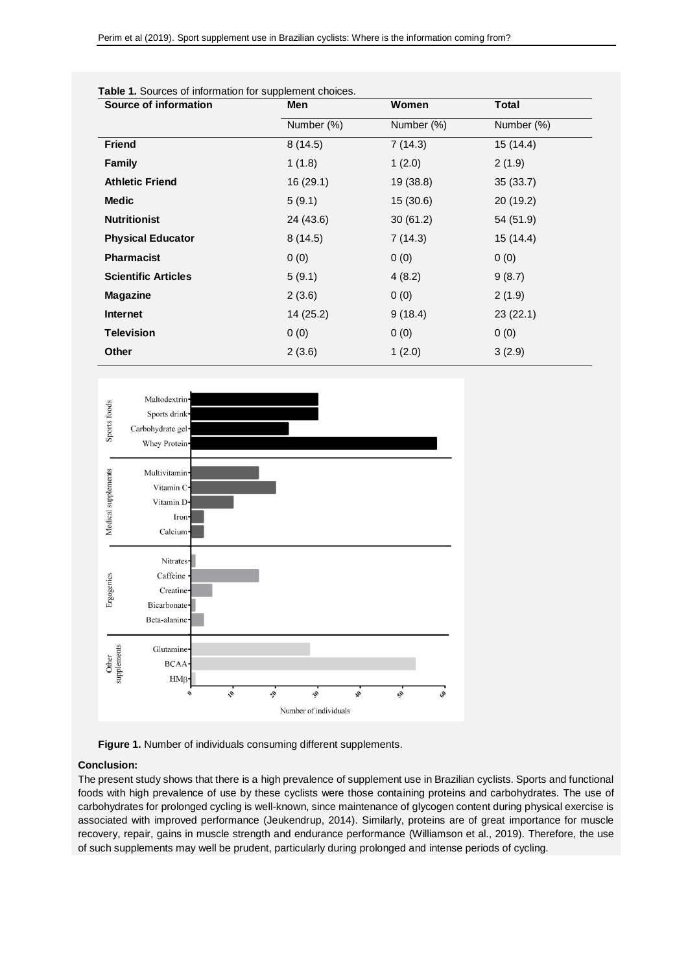| Source of information      | Men<br>Number (%) | Women<br>Number (%) | <b>Total</b><br>Number (%) |
|----------------------------|-------------------|---------------------|----------------------------|
|                            |                   |                     |                            |
| <b>Family</b>              | 1(1.8)            | 1(2.0)              | 2(1.9)                     |
| <b>Athletic Friend</b>     | 16(29.1)          | 19 (38.8)           | 35(33.7)                   |
| <b>Medic</b>               | 5(9.1)            | 15(30.6)            | 20 (19.2)                  |
| <b>Nutritionist</b>        | 24 (43.6)         | 30(61.2)            | 54 (51.9)                  |
| <b>Physical Educator</b>   | 8(14.5)           | 7(14.3)             | 15(14.4)                   |
| <b>Pharmacist</b>          | 0(0)              | 0(0)                | 0(0)                       |
| <b>Scientific Articles</b> | 5(9.1)            | 4(8.2)              | 9(8.7)                     |
| <b>Magazine</b>            | 2(3.6)            | 0(0)                | 2(1.9)                     |
| Internet                   | 14(25.2)          | 9(18.4)             | 23(22.1)                   |
| <b>Television</b>          | 0(0)              | 0(0)                | 0(0)                       |
| Other                      | 2(3.6)            | 1(2.0)              | 3(2.9)                     |



#### **Table 1.** Sources of information for supplement choices.



 $2<sup>o</sup>$ 

i.

### **Conclusion:**

 $BCA$  $HM<sub>f</sub>$ 

The present study shows that there is a high prevalence of supplement use in Brazilian cyclists. Sports and functional foods with high prevalence of use by these cyclists were those containing proteins and carbohydrates. The use of carbohydrates for prolonged cycling is well-known, since maintenance of glycogen content during physical exercise is associated with improved performance [\(Jeukendrup, 2014\)](#page-2-6). Similarly, proteins are of great importance for muscle recovery, repair, gains in muscle strength and endurance performance [\(Williamson et al., 2019\)](#page-2-7). Therefore, the use of such supplements may well be prudent, particularly during prolonged and intense periods of cycling.

ą,

公

ą.

Number of individuals